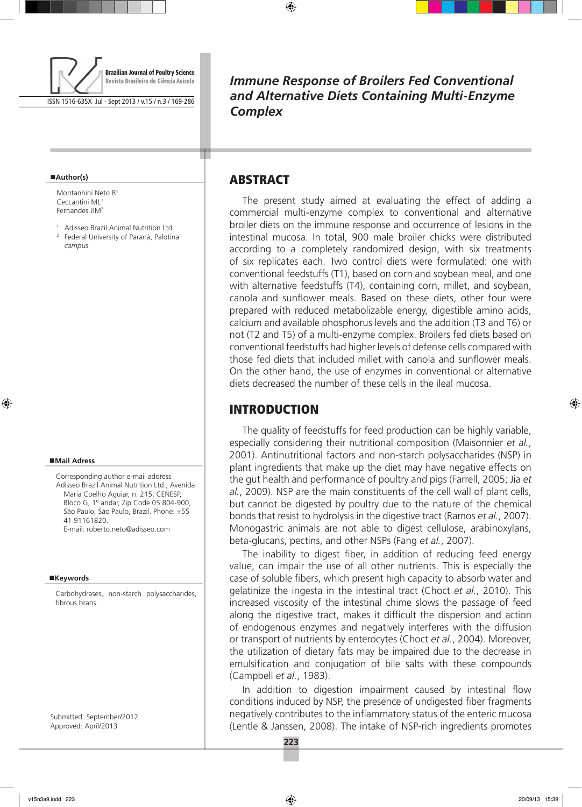

ISSN 1516-635X Jul - Sept 2013 / v.15 / n.3 / 169-286

#### **Author(s)**

Montanhini Neto R1 Ceccantini ML1 Fernandes JIM2

- <sup>1</sup> Adisseo Brazil Animal Nutrition Ltd.
- <sup>2</sup> Federal University of Paraná, Palotina *campus*

#### **Mail Adress**

Corresponding author e-mail address Adisseo Brazil Animal Nutrition Ltd., Avenida Maria Coelho Aguiar, n. 215, CENESP, Bloco G, 1º andar, Zip Code 05.804-900, São Paulo, São Paulo, Brazil. Phone: +55 41 91161820. E-mail: roberto.neto@adisseo.com

#### **Keywords**

Carbohydrases, non-starch polysaccharides, fibrous brans.

Submitted: September/2012 Approved: April/2013

*Immune Response of Broilers Fed Conventional and Alternative Diets Containing Multi-Enzyme Complex*

#### ABSTRACT

The present study aimed at evaluating the effect of adding a commercial multi-enzyme complex to conventional and alternative broiler diets on the immune response and occurrence of lesions in the intestinal mucosa. In total, 900 male broiler chicks were distributed according to a completely randomized design, with six treatments of six replicates each. Two control diets were formulated: one with conventional feedstuffs (T1), based on corn and soybean meal, and one with alternative feedstuffs (T4), containing corn, millet, and soybean, canola and sunflower meals. Based on these diets, other four were prepared with reduced metabolizable energy, digestible amino acids, calcium and available phosphorus levels and the addition (T3 and T6) or not (T2 and T5) of a multi-enzyme complex. Broilers fed diets based on conventional feedstuffs had higher levels of defense cells compared with those fed diets that included millet with canola and sunflower meals. On the other hand, the use of enzymes in conventional or alternative diets decreased the number of these cells in the ileal mucosa.

#### INTRODUCTION

The quality of feedstuffs for feed production can be highly variable, especially considering their nutritional composition (Maisonnier *et al.*, 2001). Antinutritional factors and non-starch polysaccharides (NSP) in plant ingredients that make up the diet may have negative effects on the gut health and performance of poultry and pigs (Farrell, 2005; Jia *et al.*, 2009). NSP are the main constituents of the cell wall of plant cells, but cannot be digested by poultry due to the nature of the chemical bonds that resist to hydrolysis in the digestive tract (Ramos *et al.*, 2007). Monogastric animals are not able to digest cellulose, arabinoxylans, beta-glucans, pectins, and other NSPs (Fang *et al.*, 2007).

The inability to digest fiber, in addition of reducing feed energy value, can impair the use of all other nutrients. This is especially the case of soluble fibers, which present high capacity to absorb water and gelatinize the ingesta in the intestinal tract (Choct *et al.*, 2010). This increased viscosity of the intestinal chime slows the passage of feed along the digestive tract, makes it difficult the dispersion and action of endogenous enzymes and negatively interferes with the diffusion or transport of nutrients by enterocytes (Choct *et al.*, 2004). Moreover, the utilization of dietary fats may be impaired due to the decrease in emulsification and conjugation of bile salts with these compounds (Campbell *et al.*, 1983).

In addition to digestion impairment caused by intestinal flow conditions induced by NSP, the presence of undigested fiber fragments negatively contributes to the inflammatory status of the enteric mucosa (Lentle & Janssen, 2008). The intake of NSP-rich ingredients promotes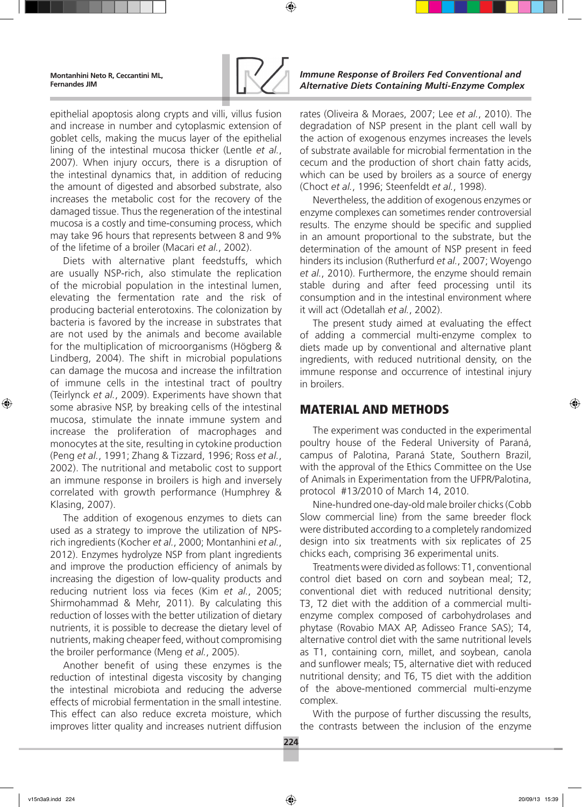

epithelial apoptosis along crypts and villi, villus fusion and increase in number and cytoplasmic extension of goblet cells, making the mucus layer of the epithelial lining of the intestinal mucosa thicker (Lentle *et al.*, 2007). When injury occurs, there is a disruption of the intestinal dynamics that, in addition of reducing the amount of digested and absorbed substrate, also increases the metabolic cost for the recovery of the damaged tissue. Thus the regeneration of the intestinal mucosa is a costly and time-consuming process, which may take 96 hours that represents between 8 and 9% of the lifetime of a broiler (Macari *et al.*, 2002).

Diets with alternative plant feedstuffs, which are usually NSP-rich, also stimulate the replication of the microbial population in the intestinal lumen, elevating the fermentation rate and the risk of producing bacterial enterotoxins. The colonization by bacteria is favored by the increase in substrates that are not used by the animals and become available for the multiplication of microorganisms (Högberg & Lindberg, 2004). The shift in microbial populations can damage the mucosa and increase the infiltration of immune cells in the intestinal tract of poultry (Teirlynck *et al.*, 2009). Experiments have shown that some abrasive NSP, by breaking cells of the intestinal mucosa, stimulate the innate immune system and increase the proliferation of macrophages and monocytes at the site, resulting in cytokine production (Peng *et al.*, 1991; Zhang & Tizzard, 1996; Ross *et al.*, 2002). The nutritional and metabolic cost to support an immune response in broilers is high and inversely correlated with growth performance (Humphrey & Klasing, 2007).

The addition of exogenous enzymes to diets can used as a strategy to improve the utilization of NPSrich ingredients (Kocher *et al.*, 2000; Montanhini *et al.*, 2012). Enzymes hydrolyze NSP from plant ingredients and improve the production efficiency of animals by increasing the digestion of low-quality products and reducing nutrient loss via feces (Kim *et al.*, 2005; Shirmohammad & Mehr, 2011). By calculating this reduction of losses with the better utilization of dietary nutrients, it is possible to decrease the dietary level of nutrients, making cheaper feed, without compromising the broiler performance (Meng *et al.*, 2005).

Another benefit of using these enzymes is the reduction of intestinal digesta viscosity by changing the intestinal microbiota and reducing the adverse effects of microbial fermentation in the small intestine. This effect can also reduce excreta moisture, which improves litter quality and increases nutrient diffusion

#### *Immune Response of Broilers Fed Conventional and Alternative Diets Containing Multi-Enzyme Complex*

rates (Oliveira & Moraes, 2007; Lee *et al.*, 2010). The degradation of NSP present in the plant cell wall by the action of exogenous enzymes increases the levels of substrate available for microbial fermentation in the cecum and the production of short chain fatty acids, which can be used by broilers as a source of energy (Choct *et al.*, 1996; Steenfeldt *et al.*, 1998).

Nevertheless, the addition of exogenous enzymes or enzyme complexes can sometimes render controversial results. The enzyme should be specific and supplied in an amount proportional to the substrate, but the determination of the amount of NSP present in feed hinders its inclusion (Rutherfurd *et al.*, 2007; Woyengo *et al.*, 2010). Furthermore, the enzyme should remain stable during and after feed processing until its consumption and in the intestinal environment where it will act (Odetallah *et al.*, 2002).

The present study aimed at evaluating the effect of adding a commercial multi-enzyme complex to diets made up by conventional and alternative plant ingredients, with reduced nutritional density, on the immune response and occurrence of intestinal injury in broilers.

### MATERIAL AND METHODS

The experiment was conducted in the experimental poultry house of the Federal University of Paraná, campus of Palotina, Paraná State, Southern Brazil, with the approval of the Ethics Committee on the Use of Animals in Experimentation from the UFPR/Palotina, protocol #13/2010 of March 14, 2010.

Nine-hundred one-day-old male broiler chicks (Cobb Slow commercial line) from the same breeder flock were distributed according to a completely randomized design into six treatments with six replicates of 25 chicks each, comprising 36 experimental units.

Treatments were divided as follows: T1, conventional control diet based on corn and soybean meal; T2, conventional diet with reduced nutritional density; T3, T2 diet with the addition of a commercial multienzyme complex composed of carbohydrolases and phytase (Rovabio MAX AP, Adisseo France SAS); T4, alternative control diet with the same nutritional levels as T1, containing corn, millet, and soybean, canola and sunflower meals; T5, alternative diet with reduced nutritional density; and T6, T5 diet with the addition of the above-mentioned commercial multi-enzyme complex.

With the purpose of further discussing the results, the contrasts between the inclusion of the enzyme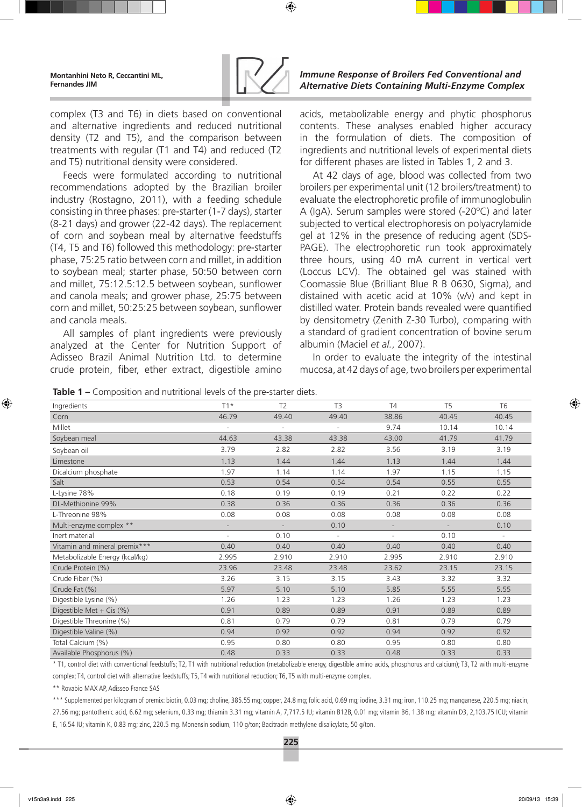

complex (T3 and T6) in diets based on conventional and alternative ingredients and reduced nutritional density (T2 and T5), and the comparison between treatments with regular (T1 and T4) and reduced (T2 and T5) nutritional density were considered.

Feeds were formulated according to nutritional recommendations adopted by the Brazilian broiler industry (Rostagno, 2011), with a feeding schedule consisting in three phases: pre-starter (1-7 days), starter (8-21 days) and grower (22-42 days). The replacement of corn and soybean meal by alternative feedstuffs (T4, T5 and T6) followed this methodology: pre-starter phase, 75:25 ratio between corn and millet, in addition to soybean meal; starter phase, 50:50 between corn and millet, 75:12.5:12.5 between soybean, sunflower and canola meals; and grower phase, 25:75 between corn and millet, 50:25:25 between soybean, sunflower and canola meals.

All samples of plant ingredients were previously analyzed at the Center for Nutrition Support of Adisseo Brazil Animal Nutrition Ltd. to determine crude protein, fiber, ether extract, digestible amino acids, metabolizable energy and phytic phosphorus contents. These analyses enabled higher accuracy in the formulation of diets. The composition of ingredients and nutritional levels of experimental diets for different phases are listed in Tables 1, 2 and 3.

At 42 days of age, blood was collected from two broilers per experimental unit (12 broilers/treatment) to evaluate the electrophoretic profile of immunoglobulin A (IgA). Serum samples were stored (-20ºC) and later subjected to vertical electrophoresis on polyacrylamide gel at 12% in the presence of reducing agent (SDS-PAGE). The electrophoretic run took approximately three hours, using 40 mA current in vertical vert (Loccus LCV). The obtained gel was stained with Coomassie Blue (Brilliant Blue R B 0630, Sigma), and distained with acetic acid at 10% (v/v) and kept in distilled water. Protein bands revealed were quantified by densitometry (Zenith Z-30 Turbo), comparing with a standard of gradient concentration of bovine serum albumin (Maciel *et al.*, 2007).

In order to evaluate the integrity of the intestinal mucosa, at 42 days of age, two broilers per experimental

**Table 1 –** Composition and nutritional levels of the pre-starter diets.

| Ingredients                    | $T1*$                    | T <sub>2</sub>           | T <sub>3</sub>           | T4             | T <sub>5</sub> | T <sub>6</sub>           |
|--------------------------------|--------------------------|--------------------------|--------------------------|----------------|----------------|--------------------------|
| Corn                           | 46.79                    | 49.40                    | 49.40                    | 38.86          | 40.45          | 40.45                    |
| Millet                         | $\overline{\phantom{m}}$ | $\overline{\phantom{a}}$ | $\overline{\phantom{a}}$ | 9.74           | 10.14          | 10.14                    |
| Soybean meal                   | 44.63                    | 43.38                    | 43.38                    | 43.00          | 41.79          | 41.79                    |
| Soybean oil                    | 3.79                     | 2.82                     | 2.82                     | 3.56           | 3.19           | 3.19                     |
| Limestone                      | 1.13                     | 1.44                     | 1.44                     | 1.13           | 1.44           | 1.44                     |
| Dicalcium phosphate            | 1.97                     | 1.14                     | 1.14                     | 1.97           | 1.15           | 1.15                     |
| Salt                           | 0.53                     | 0.54                     | 0.54                     | 0.54           | 0.55           | 0.55                     |
| L-Lysine 78%                   | 0.18                     | 0.19                     | 0.19                     | 0.21           | 0.22           | 0.22                     |
| DL-Methionine 99%              | 0.38                     | 0.36                     | 0.36                     | 0.36           | 0.36           | 0.36                     |
| L-Threonine 98%                | 0.08                     | 0.08                     | 0.08                     | 0.08           | 0.08           | 0.08                     |
| Multi-enzyme complex **        | ÷,                       | $\overline{\phantom{a}}$ | 0.10                     | $\overline{a}$ |                | 0.10                     |
| Inert material                 | $\overline{\phantom{a}}$ | 0.10                     | $\overline{\phantom{a}}$ | L,             | 0.10           | $\overline{\phantom{a}}$ |
| Vitamin and mineral premix***  | 0.40                     | 0.40                     | 0.40                     | 0.40           | 0.40           | 0.40                     |
| Metabolizable Energy (kcal/kg) | 2.995                    | 2.910                    | 2.910                    | 2.995          | 2.910          | 2.910                    |
| Crude Protein (%)              | 23.96                    | 23.48                    | 23.48                    | 23.62          | 23.15          | 23.15                    |
| Crude Fiber (%)                | 3.26                     | 3.15                     | 3.15                     | 3.43           | 3.32           | 3.32                     |
| Crude Fat (%)                  | 5.97                     | 5.10                     | 5.10                     | 5.85           | 5.55           | 5.55                     |
| Digestible Lysine (%)          | 1.26                     | 1.23                     | 1.23                     | 1.26           | 1.23           | 1.23                     |
| Digestible Met + $Cis$ (%)     | 0.91                     | 0.89                     | 0.89                     | 0.91           | 0.89           | 0.89                     |
| Digestible Threonine (%)       | 0.81                     | 0.79                     | 0.79                     | 0.81           | 0.79           | 0.79                     |
| Digestible Valine (%)          | 0.94                     | 0.92                     | 0.92                     | 0.94           | 0.92           | 0.92                     |
| Total Calcium (%)              | 0.95                     | 0.80                     | 0.80                     | 0.95           | 0.80           | 0.80                     |
| Available Phosphorus (%)       | 0.48                     | 0.33                     | 0.33                     | 0.48           | 0.33           | 0.33                     |

\* T1, control diet with conventional feedstuffs; T2, T1 with nutritional reduction (metabolizable energy, digestible amino acids, phosphorus and calcium); T3, T2 with multi-enzyme complex; T4, control diet with alternative feedstuffs; T5, T4 with nutritional reduction; T6, T5 with multi-enzyme complex.

\*\* Rovabio MAX AP, Adisseo France SAS

\*\*\* Supplemented per kilogram of premix: biotin, 0.03 mg; choline, 385.55 mg; copper, 24.8 mg; folic acid, 0.69 mg; iodine, 3.31 mg; iron, 110.25 mg; manganese, 220.5 mg; niacin,

27.56 mg; pantothenic acid, 6.62 mg; selenium, 0.33 mg; thiamin 3.31 mg; vitamin A, 7,717.5 IU; vitamin B12B, 0.01 mg; vitamin B6, 1.38 mg; vitamin D3, 2,103.75 ICU; vitamin E, 16.54 IU; vitamin K, 0.83 mg; zinc, 220.5 mg. Monensin sodium, 110 g/ton; Bacitracin methylene disalicylate, 50 g/ton.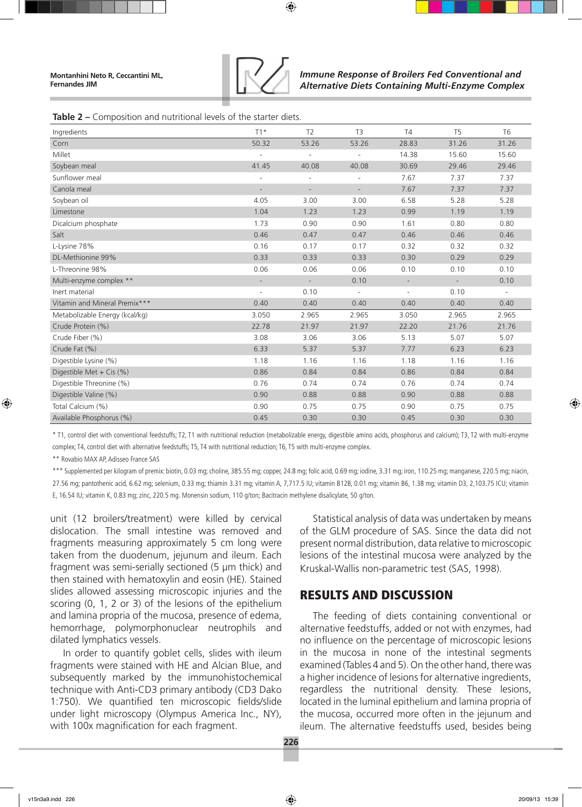

|  |  | Table 2 - Composition and nutritional levels of the starter diets. |  |  |  |  |  |
|--|--|--------------------------------------------------------------------|--|--|--|--|--|
|--|--|--------------------------------------------------------------------|--|--|--|--|--|

| Ingredients                    | $T1*$                    | T <sub>2</sub>           | T <sub>3</sub>           | <b>T4</b>                | T <sub>5</sub>           | T <sub>6</sub>           |
|--------------------------------|--------------------------|--------------------------|--------------------------|--------------------------|--------------------------|--------------------------|
| Corn                           | 50.32                    | 53.26                    | 53.26                    | 28.83                    | 31.26                    | 31.26                    |
| Millet                         | $\overline{\phantom{a}}$ | $\overline{\phantom{a}}$ | $\overline{\phantom{a}}$ | 14.38                    | 15.60                    | 15.60                    |
| Soybean meal                   | 41.45                    | 40.08                    | 40.08                    | 30.69                    | 29.46                    | 29.46                    |
| Sunflower meal                 | $\overline{\phantom{a}}$ | $\overline{\phantom{a}}$ | $\overline{\phantom{a}}$ | 7.67                     | 7.37                     | 7.37                     |
| Canola meal                    | $\overline{\phantom{a}}$ | $\overline{\phantom{a}}$ | $\overline{\phantom{a}}$ | 7.67                     | 7.37                     | 7.37                     |
| Soybean oil                    | 4.05                     | 3.00                     | 3.00                     | 6.58                     | 5.28                     | 5.28                     |
| Limestone                      | 1.04                     | 1.23                     | 1.23                     | 0.99                     | 1.19                     | 1.19                     |
| Dicalcium phosphate            | 1.73                     | 0.90                     | 0.90                     | 1.61                     | 0.80                     | 0.80                     |
| Salt                           | 0.46                     | 0.47                     | 0.47                     | 0.46                     | 0.46                     | 0.46                     |
| L-Lysine 78%                   | 0.16                     | 0.17                     | 0.17                     | 0.32                     | 0.32                     | 0.32                     |
| DL-Methionine 99%              | 0.33                     | 0.33                     | 0.33                     | 0.30                     | 0.29                     | 0.29                     |
| L-Threonine 98%                | 0.06                     | 0.06                     | 0.06                     | 0.10                     | 0.10                     | 0.10                     |
| Multi-enzyme complex **        | $\overline{\phantom{a}}$ | $\overline{\phantom{a}}$ | 0.10                     | $\overline{\phantom{a}}$ | $\overline{\phantom{a}}$ | 0.10                     |
| Inert material                 | $\overline{\phantom{a}}$ | 0.10                     | $\overline{\phantom{a}}$ | $\overline{\phantom{a}}$ | 0.10                     | $\overline{\phantom{a}}$ |
| Vitamin and Mineral Premix***  | 0.40                     | 0.40                     | 0.40                     | 0.40                     | 0.40                     | 0.40                     |
| Metabolizable Energy (kcal/kg) | 3.050                    | 2.965                    | 2.965                    | 3.050                    | 2.965                    | 2.965                    |
| Crude Protein (%)              | 22.78                    | 21.97                    | 21.97                    | 22.20                    | 21.76                    | 21.76                    |
| Crude Fiber (%)                | 3.08                     | 3.06                     | 3.06                     | 5.13                     | 5.07                     | 5.07                     |
| Crude Fat (%)                  | 6.33                     | 5.37                     | 5.37                     | 7.77                     | 6.23                     | 6.23                     |
| Digestible Lysine (%)          | 1.18                     | 1.16                     | 1.16                     | 1.18                     | 1.16                     | 1.16                     |
| Digestible Met + Cis (%)       | 0.86                     | 0.84                     | 0.84                     | 0.86                     | 0.84                     | 0.84                     |
| Digestible Threonine (%)       | 0.76                     | 0.74                     | 0.74                     | 0.76                     | 0.74                     | 0.74                     |
| Digestible Valine (%)          | 0.90                     | 0.88                     | 0.88                     | 0.90                     | 0.88                     | 0.88                     |
| Total Calcium (%)              | 0.90                     | 0.75                     | 0.75                     | 0.90                     | 0.75                     | 0.75                     |
| Available Phosphorus (%)       | 0.45                     | 0.30                     | 0.30                     | 0.45                     | 0.30                     | 0.30                     |

\* T1, control diet with conventional feedstuffs; T2, T1 with nutritional reduction (metabolizable energy, digestible amino acids, phosphorus and calcium); T3, T2 with multi-enzyme complex; T4, control diet with alternative feedstuffs; T5, T4 with nutritional reduction; T6, T5 with multi-enzyme complex.

\*\* Rovabio MAX AP, Adisseo France SAS

\*\*\* Supplemented per kilogram of premix: biotin, 0.03 mg; choline, 385.55 mg; copper, 24.8 mg; folic acid, 0.69 mg; iodine, 3.31 mg; iron, 110.25 mg; manganese, 220.5 mg; niacin, 27.56 mg; pantothenic acid, 6.62 mg; selenium, 0.33 mg; thiamin 3.31 mg; vitamin A, 7,717.5 IU; vitamin B12B, 0.01 mg; vitamin B6, 1.38 mg; vitamin D3, 2,103.75 ICU; vitamin E, 16.54 IU; vitamin K, 0.83 mg; zinc, 220.5 mg. Monensin sodium, 110 g/ton; Bacitracin methylene disalicylate, 50 g/ton.

unit (12 broilers/treatment) were killed by cervical dislocation. The small intestine was removed and fragments measuring approximately 5 cm long were taken from the duodenum, jejunum and ileum. Each fragment was semi-serially sectioned (5 μm thick) and then stained with hematoxylin and eosin (HE). Stained slides allowed assessing microscopic injuries and the scoring (0, 1, 2 or 3) of the lesions of the epithelium and lamina propria of the mucosa, presence of edema, hemorrhage, polymorphonuclear neutrophils and dilated lymphatics vessels.

In order to quantify goblet cells, slides with ileum fragments were stained with HE and Alcian Blue, and subsequently marked by the immunohistochemical technique with Anti-CD3 primary antibody (CD3 Dako 1:750). We quantified ten microscopic fields/slide under light microscopy (Olympus America Inc., NY), with 100x magnification for each fragment.

Statistical analysis of data was undertaken by means of the GLM procedure of SAS. Since the data did not present normal distribution, data relative to microscopic lesions of the intestinal mucosa were analyzed by the Kruskal-Wallis non-parametric test (SAS, 1998).

# RESULTS AND DISCUSSION

The feeding of diets containing conventional or alternative feedstuffs, added or not with enzymes, had no influence on the percentage of microscopic lesions in the mucosa in none of the intestinal segments examined (Tables 4 and 5). On the other hand, there was a higher incidence of lesions for alternative ingredients, regardless the nutritional density. These lesions, located in the luminal epithelium and lamina propria of the mucosa, occurred more often in the jejunum and ileum. The alternative feedstuffs used, besides being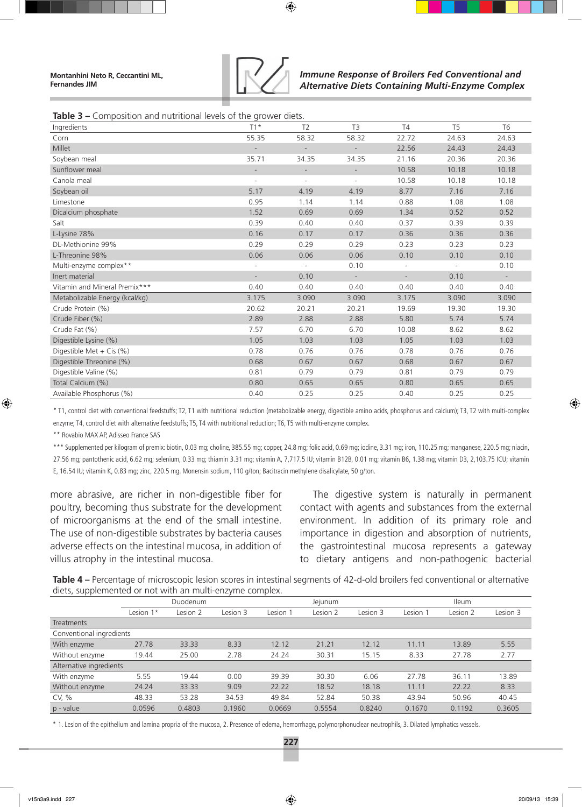

| Table 3 - Composition and nutritional levels of the grower diets. |  |  |  |  |  |
|-------------------------------------------------------------------|--|--|--|--|--|
|-------------------------------------------------------------------|--|--|--|--|--|

| Ingredients                    | $T1*$                    | T <sub>2</sub>           | T <sub>3</sub>           | T4    | T <sub>5</sub>           | T <sub>6</sub> |
|--------------------------------|--------------------------|--------------------------|--------------------------|-------|--------------------------|----------------|
| Corn                           | 55.35                    | 58.32                    | 58.32                    | 22.72 | 24.63                    | 24.63          |
| Millet                         | $\overline{\phantom{a}}$ | $\sim$                   | $\overline{\phantom{a}}$ | 22.56 | 24.43                    | 24.43          |
| Soybean meal                   | 35.71                    | 34.35                    | 34.35                    | 21.16 | 20.36                    | 20.36          |
| Sunflower meal                 | $\overline{\phantom{0}}$ | $\overline{\phantom{a}}$ | $\overline{\phantom{a}}$ | 10.58 | 10.18                    | 10.18          |
| Canola meal                    | $\overline{\phantom{a}}$ | $\overline{\phantom{a}}$ | $\overline{\phantom{a}}$ | 10.58 | 10.18                    | 10.18          |
| Soybean oil                    | 5.17                     | 4.19                     | 4.19                     | 8.77  | 7.16                     | 7.16           |
| Limestone                      | 0.95                     | 1.14                     | 1.14                     | 0.88  | 1.08                     | 1.08           |
| Dicalcium phosphate            | 1.52                     | 0.69                     | 0.69                     | 1.34  | 0.52                     | 0.52           |
| Salt                           | 0.39                     | 0.40                     | 0.40                     | 0.37  | 0.39                     | 0.39           |
| L-Lysine 78%                   | 0.16                     | 0.17                     | 0.17                     | 0.36  | 0.36                     | 0.36           |
| DL-Methionine 99%              | 0.29                     | 0.29                     | 0.29                     | 0.23  | 0.23                     | 0.23           |
| L-Threonine 98%                | 0.06                     | 0.06                     | 0.06                     | 0.10  | 0.10                     | 0.10           |
| Multi-enzyme complex**         |                          |                          | 0.10                     |       | $\overline{\phantom{a}}$ | 0.10           |
| Inert material                 |                          | 0.10                     |                          |       | 0.10                     | $\sim$         |
| Vitamin and Mineral Premix***  | 0.40                     | 0.40                     | 0.40                     | 0.40  | 0.40                     | 0.40           |
| Metabolizable Energy (kcal/kg) | 3.175                    | 3.090                    | 3.090                    | 3.175 | 3.090                    | 3.090          |
| Crude Protein (%)              | 20.62                    | 20.21                    | 20.21                    | 19.69 | 19.30                    | 19.30          |
| Crude Fiber (%)                | 2.89                     | 2.88                     | 2.88                     | 5.80  | 5.74                     | 5.74           |
| Crude Fat (%)                  | 7.57                     | 6.70                     | 6.70                     | 10.08 | 8.62                     | 8.62           |
| Digestible Lysine (%)          | 1.05                     | 1.03                     | 1.03                     | 1.05  | 1.03                     | 1.03           |
| Digestible Met + Cis (%)       | 0.78                     | 0.76                     | 0.76                     | 0.78  | 0.76                     | 0.76           |
| Digestible Threonine (%)       | 0.68                     | 0.67                     | 0.67                     | 0.68  | 0.67                     | 0.67           |
| Digestible Valine (%)          | 0.81                     | 0.79                     | 0.79                     | 0.81  | 0.79                     | 0.79           |
| Total Calcium (%)              | 0.80                     | 0.65                     | 0.65                     | 0.80  | 0.65                     | 0.65           |
| Available Phosphorus (%)       | 0.40                     | 0.25                     | 0.25                     | 0.40  | 0.25                     | 0.25           |

\* T1, control diet with conventional feedstuffs; T2, T1 with nutritional reduction (metabolizable energy, digestible amino acids, phosphorus and calcium); T3, T2 with multi-complex enzyme; T4, control diet with alternative feedstuffs; T5, T4 with nutritional reduction; T6, T5 with multi-enzyme complex.

\*\* Rovabio MAX AP, Adisseo France SAS

\*\*\* Supplemented per kilogram of premix: biotin, 0.03 mg; choline, 385.55 mg; copper, 24.8 mg; folic acid, 0.69 mg; iodine, 3.31 mg; iron, 110.25 mg; manganese, 220.5 mg; niacin, 27.56 mg; pantothenic acid, 6.62 mg; selenium, 0.33 mg; thiamin 3.31 mg; vitamin A, 7,717.5 IU; vitamin B12B, 0.01 mg; vitamin B6, 1.38 mg; vitamin D3, 2,103.75 ICU; vitamin E, 16.54 IU; vitamin K, 0.83 mg; zinc, 220.5 mg. Monensin sodium, 110 g/ton; Bacitracin methylene disalicylate, 50 g/ton.

more abrasive, are richer in non-digestible fiber for poultry, becoming thus substrate for the development of microorganisms at the end of the small intestine. The use of non-digestible substrates by bacteria causes adverse effects on the intestinal mucosa, in addition of villus atrophy in the intestinal mucosa.

The digestive system is naturally in permanent contact with agents and substances from the external environment. In addition of its primary role and importance in digestion and absorption of nutrients, the gastrointestinal mucosa represents a gateway to dietary antigens and non-pathogenic bacterial

**Table 4 –** Percentage of microscopic lesion scores in intestinal segments of 42-d-old broilers fed conventional or alternative diets, supplemented or not with an multi-enzyme complex.

|                          | Duodenum    |          |          |          | Jejunum  |          |                     | <b>Ileum</b> |          |  |
|--------------------------|-------------|----------|----------|----------|----------|----------|---------------------|--------------|----------|--|
|                          | Lesion $1*$ | Lesion 2 | Lesion 3 | Lesion 1 | Lesion 2 | Lesion 3 | Lesion <sup>-</sup> | Lesion 2     | Lesion 3 |  |
| Treatments               |             |          |          |          |          |          |                     |              |          |  |
| Conventional ingredients |             |          |          |          |          |          |                     |              |          |  |
| With enzyme              | 27.78       | 33.33    | 8.33     | 12.12    | 21.21    | 12.12    | 11.11               | 13.89        | 5.55     |  |
| Without enzyme           | 19.44       | 25.00    | 2.78     | 24.24    | 30.31    | 15.15    | 8.33                | 27.78        | 2.77     |  |
| Alternative ingredients  |             |          |          |          |          |          |                     |              |          |  |
| With enzyme              | 5.55        | 19.44    | 0.00     | 39.39    | 30.30    | 6.06     | 27.78               | 36.11        | 13.89    |  |
| Without enzyme           | 24.24       | 33.33    | 9.09     | 22.22    | 18.52    | 18.18    | 11.11               | 22.22        | 8.33     |  |
| CV, %                    | 48.33       | 53.28    | 34.53    | 49.84    | 52.84    | 50.38    | 43.94               | 50.96        | 40.45    |  |
| p - value                | 0.0596      | 0.4803   | 0.1960   | 0.0669   | 0.5554   | 0.8240   | 0.1670              | 0.1192       | 0.3605   |  |

\* 1. Lesion of the epithelium and lamina propria of the mucosa, 2. Presence of edema, hemorrhage, polymorphonuclear neutrophils, 3. Dilated lymphatics vessels.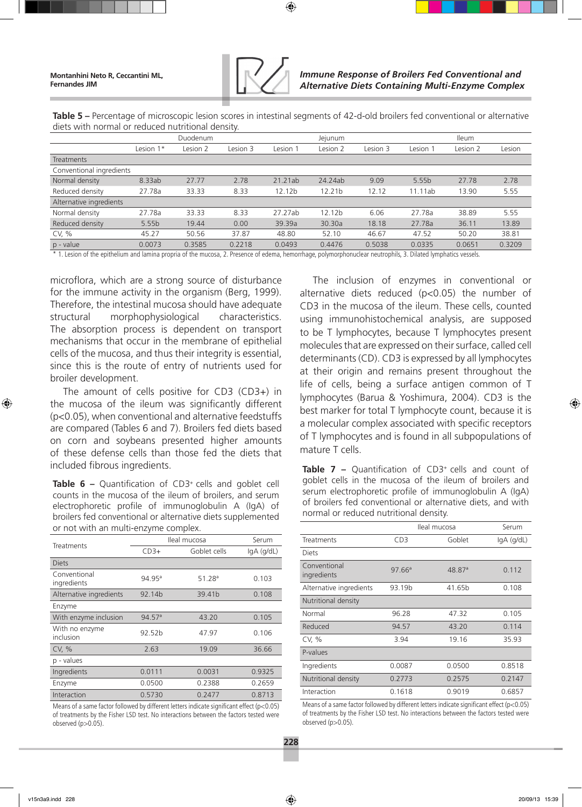

**Table 5 –** Percentage of microscopic lesion scores in intestinal segments of 42-d-old broilers fed conventional or alternative diets with normal or reduced nutritional density.

|                          |                   | Duodenum |          |          | Jejunum            |          |                   | <b>Ileum</b> |        |
|--------------------------|-------------------|----------|----------|----------|--------------------|----------|-------------------|--------------|--------|
|                          | Lesion 1*         | Lesion 2 | Lesion 3 | Lesion 1 | Lesion 2           | Lesion 3 | Lesion 1          | Lesion 2     | Lesion |
| Treatments               |                   |          |          |          |                    |          |                   |              |        |
| Conventional ingredients |                   |          |          |          |                    |          |                   |              |        |
| Normal density           | 8.33ab            | 27.77    | 2.78     | 21.21ab  | 24.24ab            | 9.09     | 5.55 <sub>b</sub> | 27.78        | 2.78   |
| Reduced density          | 27.78a            | 33.33    | 8.33     | 12.12b   | 12.21 <sub>b</sub> | 12.12    | 11.11ab           | 13.90        | 5.55   |
| Alternative ingredients  |                   |          |          |          |                    |          |                   |              |        |
| Normal density           | 27.78a            | 33.33    | 8.33     | 27.27ab  | 12.12b             | 6.06     | 27.78a            | 38.89        | 5.55   |
| Reduced density          | 5.55 <sub>b</sub> | 19.44    | 0.00     | 39.39a   | 30.30a             | 18.18    | 27.78a            | 36.11        | 13.89  |
| CV, %                    | 45.27             | 50.56    | 37.87    | 48.80    | 52.10              | 46.67    | 47.52             | 50.20        | 38.81  |
| p - value                | 0.0073            | 0.3585   | 0.2218   | 0.0493   | 0.4476             | 0.5038   | 0.0335            | 0.0651       | 0.3209 |

\* 1. Lesion of the epithelium and lamina propria of the mucosa, 2. Presence of edema, hemorrhage, polymorphonuclear neutrophils, 3. Dilated lymphatics vessels.

microflora, which are a strong source of disturbance for the immune activity in the organism (Berg, 1999). Therefore, the intestinal mucosa should have adequate structural morphophysiological characteristics. The absorption process is dependent on transport mechanisms that occur in the membrane of epithelial cells of the mucosa, and thus their integrity is essential, since this is the route of entry of nutrients used for broiler development.

The amount of cells positive for CD3 (CD3+) in the mucosa of the ileum was significantly different (p<0.05), when conventional and alternative feedstuffs are compared (Tables 6 and 7). Broilers fed diets based on corn and soybeans presented higher amounts of these defense cells than those fed the diets that included fibrous ingredients.

**Table 6 –** Quantification of CD3<sup>+</sup> cells and goblet cell counts in the mucosa of the ileum of broilers, and serum electrophoretic profile of immunoglobulin A (IgA) of broilers fed conventional or alternative diets supplemented or not with an multi-enzyme complex.

| <b>Treatments</b>           | lleal mucosa         | Serum              |                  |
|-----------------------------|----------------------|--------------------|------------------|
|                             | $CD3+$               | Goblet cells       | $IqA$ ( $q/dL$ ) |
| <b>Diets</b>                |                      |                    |                  |
| Conventional<br>ingredients | $94.95^{\circ}$      | 51.28 <sup>a</sup> | 0.103            |
| Alternative ingredients     | 92.14b               | 39.41 <sub>b</sub> | 0.108            |
| Enzyme                      |                      |                    |                  |
| With enzyme inclusion       | $94.57$ <sup>a</sup> | 43.20              | 0.105            |
| With no enzyme<br>inclusion | 92.52 <sub>b</sub>   | 47.97              | 0.106            |
| CV, %                       | 2.63                 | 19.09              | 36.66            |
| p - values                  |                      |                    |                  |
| Ingredients                 | 0.0111               | 0.0031             | 0.9325           |
| Enzyme                      | 0.0500               | 0.2388             | 0.2659           |
| Interaction                 | 0.5730               | 0.2477             | 0.8713           |

Means of a same factor followed by different letters indicate significant effect ( $p<0.05$ ) of treatments by the Fisher LSD test. No interactions between the factors tested were observed  $(p>0.05)$ .

The inclusion of enzymes in conventional or alternative diets reduced (p<0.05) the number of CD3 in the mucosa of the ileum. These cells, counted using immunohistochemical analysis, are supposed to be T lymphocytes, because T lymphocytes present molecules that are expressed on their surface, called cell determinants (CD). CD3 is expressed by all lymphocytes at their origin and remains present throughout the life of cells, being a surface antigen common of T lymphocytes (Barua & Yoshimura, 2004). CD3 is the best marker for total T lymphocyte count, because it is a molecular complex associated with specific receptors of T lymphocytes and is found in all subpopulations of mature T cells.

**Table 7 –** Quantification of CD3<sup>+</sup> cells and count of goblet cells in the mucosa of the ileum of broilers and serum electrophoretic profile of immunoglobulin A (IgA) of broilers fed conventional or alternative diets, and with normal or reduced nutritional density.

|                             | Ileal mucosa       | Serum              |                  |
|-----------------------------|--------------------|--------------------|------------------|
| Treatments                  | CD3                | Goblet             | $IqA$ ( $q/dL$ ) |
| Diets                       |                    |                    |                  |
| Conventional<br>ingredients | $97.66^a$          | 48.87 <sup>a</sup> | 0.112            |
| Alternative ingredients     | 93.19 <sub>b</sub> | 41.65 <sub>b</sub> | 0.108            |
| Nutritional density         |                    |                    |                  |
| Normal                      | 96.28              | 47.32              | 0.105            |
| Reduced                     | 94.57              | 43.20              | 0.114            |
| CV, %                       | 3.94               | 19.16              | 35.93            |
| P-values                    |                    |                    |                  |
| Ingredients                 | 0.0087             | 0.0500             | 0.8518           |
| Nutritional density         | 0.2773             | 0.2575             | 0.2147           |
| Interaction                 | 0.1618             | 0.9019             | 0.6857           |

Means of a same factor followed by different letters indicate significant effect (p<0.05) of treatments by the Fisher LSD test. No interactions between the factors tested were observed (p>0.05).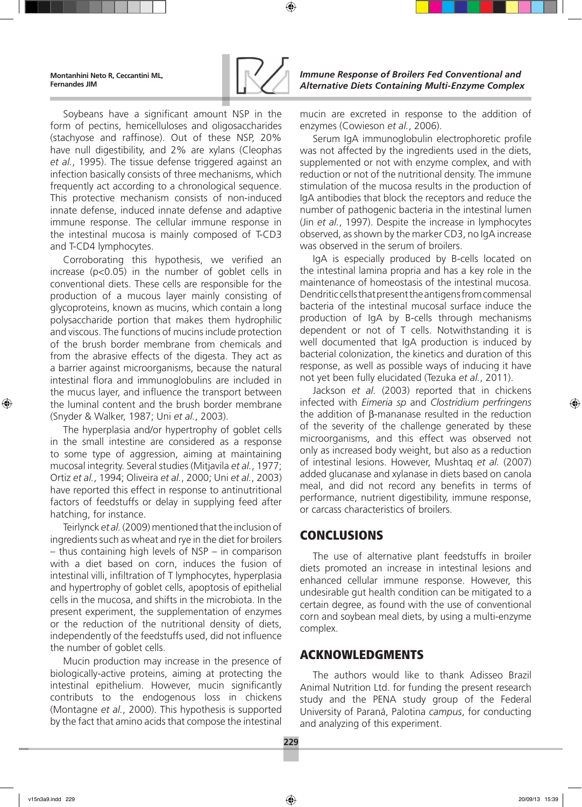

Soybeans have a significant amount NSP in the form of pectins, hemicelluloses and oligosaccharides (stachyose and raffinose). Out of these NSP, 20% have null digestibility, and 2% are xylans (Cleophas *et al.*, 1995). The tissue defense triggered against an infection basically consists of three mechanisms, which frequently act according to a chronological sequence. This protective mechanism consists of non-induced innate defense, induced innate defense and adaptive immune response. The cellular immune response in the intestinal mucosa is mainly composed of T-CD3 and T-CD4 lymphocytes.

Corroborating this hypothesis, we verified an increase (p<0.05) in the number of goblet cells in conventional diets. These cells are responsible for the production of a mucous layer mainly consisting of glycoproteins, known as mucins, which contain a long polysaccharide portion that makes them hydrophilic and viscous. The functions of mucins include protection of the brush border membrane from chemicals and from the abrasive effects of the digesta. They act as a barrier against microorganisms, because the natural intestinal flora and immunoglobulins are included in the mucus layer, and influence the transport between the luminal content and the brush border membrane (Snyder & Walker, 1987; Uni *et al.*, 2003).

The hyperplasia and/or hypertrophy of goblet cells in the small intestine are considered as a response to some type of aggression, aiming at maintaining mucosal integrity. Several studies (Mitjavila *et al.*, 1977; Ortiz *et al.*, 1994; Oliveira *et al.*, 2000; Uni *et al.*, 2003) have reported this effect in response to antinutritional factors of feedstuffs or delay in supplying feed after hatching, for instance.

Teirlynck *et al.* (2009) mentioned that the inclusion of ingredients such as wheat and rye in the diet for broilers – thus containing high levels of NSP – in comparison with a diet based on corn, induces the fusion of intestinal villi, infiltration of T lymphocytes, hyperplasia and hypertrophy of goblet cells, apoptosis of epithelial cells in the mucosa, and shifts in the microbiota. In the present experiment, the supplementation of enzymes or the reduction of the nutritional density of diets, independently of the feedstuffs used, did not influence the number of goblet cells.

Mucin production may increase in the presence of biologically-active proteins, aiming at protecting the intestinal epithelium. However, mucin significantly contributs to the endogenous loss in chickens (Montagne *et al.*, 2000). This hypothesis is supported by the fact that amino acids that compose the intestinal

mucin are excreted in response to the addition of enzymes (Cowieson *et al.*, 2006).

Serum IgA immunoglobulin electrophoretic profile was not affected by the ingredients used in the diets, supplemented or not with enzyme complex, and with reduction or not of the nutritional density. The immune stimulation of the mucosa results in the production of IgA antibodies that block the receptors and reduce the number of pathogenic bacteria in the intestinal lumen (Jin *et al.*, 1997). Despite the increase in lymphocytes observed, as shown by the marker CD3, no IgA increase was observed in the serum of broilers.

IgA is especially produced by B-cells located on the intestinal lamina propria and has a key role in the maintenance of homeostasis of the intestinal mucosa. Dendritic cells that present the antigens from commensal bacteria of the intestinal mucosal surface induce the production of IgA by B-cells through mechanisms dependent or not of T cells. Notwithstanding it is well documented that IgA production is induced by bacterial colonization, the kinetics and duration of this response, as well as possible ways of inducing it have not yet been fully elucidated (Tezuka *et al.*, 2011).

Jackson *et al.* (2003) reported that in chickens infected with *Eimeria sp* and *Clostridium perfringens* the addition of β-mananase resulted in the reduction of the severity of the challenge generated by these microorganisms, and this effect was observed not only as increased body weight, but also as a reduction of intestinal lesions. However, Mushtaq *et al.* (2007) added glucanase and xylanase in diets based on canola meal, and did not record any benefits in terms of performance, nutrient digestibility, immune response, or carcass characteristics of broilers.

### CONCLUSIONS

The use of alternative plant feedstuffs in broiler diets promoted an increase in intestinal lesions and enhanced cellular immune response. However, this undesirable gut health condition can be mitigated to a certain degree, as found with the use of conventional corn and soybean meal diets, by using a multi-enzyme complex.

### ACKNOWLEDGMENTS

The authors would like to thank Adisseo Brazil Animal Nutrition Ltd. for funding the present research study and the PENA study group of the Federal University of Paraná, Palotina *campus*, for conducting and analyzing of this experiment.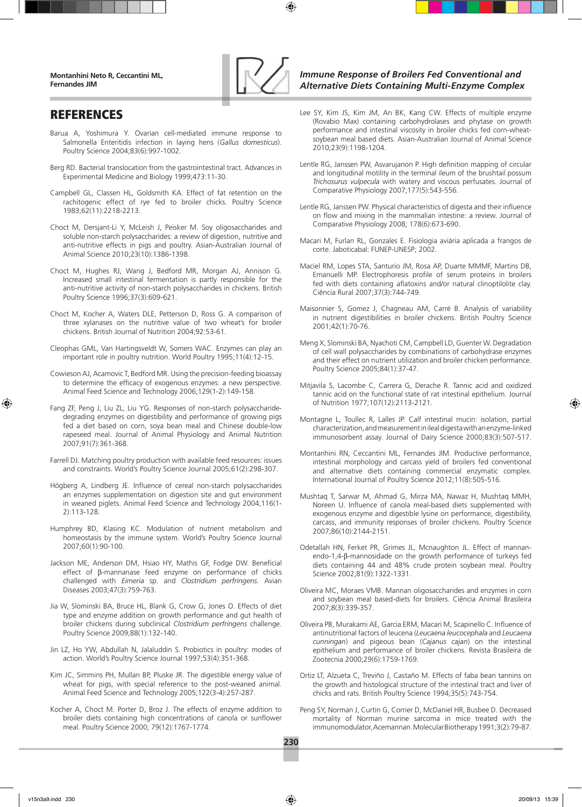

## REFERENCES

- Barua A, Yoshimura Y. Ovarian cell-mediated immune response to Salmonella Enteritidis infection in laying hens (*Gallus domesticus*). Poultry Science 2004;83(6):997-1002.
- Berg RD. Bacterial translocation from the gastrointestinal tract. Advances in Experimental Medicine and Biology 1999;473:11-30.
- Campbell GL, Classen HL, Goldsmith KA. Effect of fat retention on the rachitogenic effect of rye fed to broiler chicks. Poultry Science 1983;62(11):2218-2213.
- Choct M, Dersjant-Li Y, McLeish J, Peisker M. Soy oligosaccharides and soluble non-starch polysaccharides: a review of digestion, nutritive and anti-nutritive effects in pigs and poultry. Asian-Australian Journal of Animal Science 2010;23(10):1386-1398.
- Choct M, Hughes RJ, Wang J, Bedford MR, Morgan AJ, Annison G. Increased small intestinal fermentation is partly responsible for the anti-nutritive activity of non-starch polysaccharides in chickens. British Poultry Science 1996;37(3):609-621.
- Choct M, Kocher A, Waters DLE, Petterson D, Ross G. A comparison of three xylanases on the nutritive value of two wheat's for broiler chickens. British Journal of Nutrition 2004;92:53-61.
- Cleophas GML, Van Hartingsveldt W, Somers WAC. Enzymes can play an important role in poultry nutrition. World Poultry 1995;11(4):12-15.
- Cowieson AJ, Acamovic T, Bedford MR. Using the precision-feeding bioassay to determine the efficacy of exogenous enzymes: a new perspective. Animal Feed Science and Technology 2006;129(1-2):149-158.
- Fang ZF, Peng J, Liu ZL, Liu YG. Responses of non-starch polysaccharidedegrading enzymes on digestibility and performance of growing pigs fed a diet based on corn, soya bean meal and Chinese double-low rapeseed meal. Journal of Animal Physiology and Animal Nutrition 2007;91(7):361-368.
- Farrell DJ. Matching poultry production with available feed resources: issues and constraints. World's Poultry Science Journal 2005;61(2):298-307.
- Högberg A, Lindberg JE. Influence of cereal non-starch polysaccharides an enzymes supplementation on digestion site and gut environment in weaned piglets. Animal Feed Science and Technology 2004;116(1- 2):113-128.
- Humphrey BD, Klasing KC. Modulation of nutrient metabolism and homeostasis by the immune system. World's Poultry Science Journal 2007;60(1):90-100.
- Jackson ME, Anderson DM, Hsiao HY, Mathis GF, Fodge DW. Beneficial effect of β-mannanase feed enzyme on performance of chicks challenged with *Eimeria* sp. and *Clostridium perfringens*. Avian Diseases 2003;47(3):759-763.
- Jia W, Slominski BA, Bruce HL, Blank G, Crow G, Jones O. Effects of diet type and enzyme addition on growth performance and gut health of broiler chickens during subclinical *Clostridium perfringens* challenge. Poultry Science 2009;88(1):132-140.
- Jin LZ, Ho YW, Abdullah N, Jalaluddin S. Probiotics in poultry: modes of action. World's Poultry Science Journal 1997;53(4):351-368.
- Kim JC, Simmins PH, Mullan BP, Pluske JR. The digestible energy value of wheat for pigs, with special reference to the post-weaned animal. Animal Feed Science and Technology 2005;122(3-4):257-287.
- Kocher A, Choct M. Porter D, Broz J. The effects of enzyme addition to broiler diets containing high concentrations of canola or sunflower meal. Poultry Science 2000; 79(12):1767-1774.

#### *Immune Response of Broilers Fed Conventional and Alternative Diets Containing Multi-Enzyme Complex*

- Lee SY, Kim JS, Kim JM, An BK, Kang CW. Effects of multiple enzyme (Rovabio Max) containing carbohydrolases and phytase on growth performance and intestinal viscosity in broiler chicks fed corn-wheatsoybean meal based diets. Asian-Australian Journal of Animal Science 2010;23(9):1198-1204.
- Lentle RG, Janssen PW, Asvarujanon P. High definition mapping of circular and longitudinal motility in the terminal ileum of the brushtail possum *Trichosurus vulpecula* with watery and viscous perfusates. Journal of Comparative Physiology 2007;177(5):543-556.
- Lentle RG, Janssen PW. Physical characteristics of digesta and their influence on flow and mixing in the mammalian intestine: a review. Journal of Comparative Physiology 2008; 178(6):673-690.
- Macari M, Furlan RL, Gonzales E. Fisiologia aviária aplicada a frangos de corte. Jaboticabal: FUNEP-UNESP; 2002.
- Maciel RM, Lopes STA, Santurio JM, Rosa AP, Duarte MMMF, Martins DB, Emanuelli MP. Electrophoresis profile of serum proteins in broilers fed with diets containing aflatoxins and/or natural clinoptilolite clay. Ciência Rural 2007;37(3):744-749.
- Maisonnier S, Gomez J, Chagneau AM, Carré B. Analysis of variability in nutrient digestibilities in broiler chickens. British Poultry Science 2001;42(1):70-76.
- Meng X, Slominski BA, Nyachoti CM, Campbell LD, Guenter W. Degradation of cell wall polysaccharides by combinations of carbohydrase enzymes and their effect on nutrient utilization and broiler chicken performance. Poultry Science 2005;84(1):37-47.
- Mitjavila S, Lacombe C, Carrera G, Derache R. Tannic acid and oxidized tannic acid on the functional state of rat intestinal epithelium. Journal of Nutrition 1977;107(12):2113-2121.
- Montagne L, Toullec R, Lalles JP. Calf intestinal mucin: isolation, partial characterization, and measurement in ileal digesta with an enzyme-linked immunosorbent assay. Journal of Dairy Science 2000;83(3):507-517.
- Montanhini RN, Ceccantini ML, Fernandes JIM. Productive performance, intestinal morphology and carcass yield of broilers fed conventional and alternative diets containing commercial enzymatic complex. International Journal of Poultry Science 2012;11(8):505-516.
- Mushtaq T, Sarwar M, Ahmad G, Mirza MA, Nawaz H, Mushtaq MMH, Noreen U. Influence of canola meal-based diets supplemented with exogenous enzyme and digestible lysine on performance, digestibility, carcass, and immunity responses of broiler chickens. Poultry Science 2007;86(10):2144-2151.
- Odetallah HN, Ferket PR, Grimes JL, Mcnaughton JL. Effect of mannanendo-1,4-β-mannosidade on the growth performance of turkeys fed diets containing 44 and 48% crude protein soybean meal. Poultry Science 2002;81(9):1322-1331.
- Oliveira MC, Moraes VMB. Mannan oligosaccharides and enzymes in corn and soybean meal based-diets for broilers. Ciência Animal Brasileira 2007;8(3):339-357.
- Oliveira PB, Murakami AE, Garcia ERM, Macari M, Scapinello C. Influence of antinutritional factors of leucena (*Leucaena leucocephala* and *Leucaena cunningan*) and pigeous bean (*Cajanus cajan*) on the intestinal epithelium and performance of broiler chickens. Revista Brasileira de Zootecnia 2000;29(6):1759-1769.
- Ortiz LT, Alzueta C, Treviño J, Castaño M. Effects of faba bean tannins on the growth and histological structure of the intestinal tract and liver of chicks and rats. British Poultry Science 1994;35(5):743-754.
- Peng SY, Norman J, Curtin G, Corrier D, McDaniel HR, Busbee D. Decreased mortality of Norman murine sarcoma in mice treated with the immunomodulator, Acemannan. Molecular Biotherapy 1991;3(2):79-87.